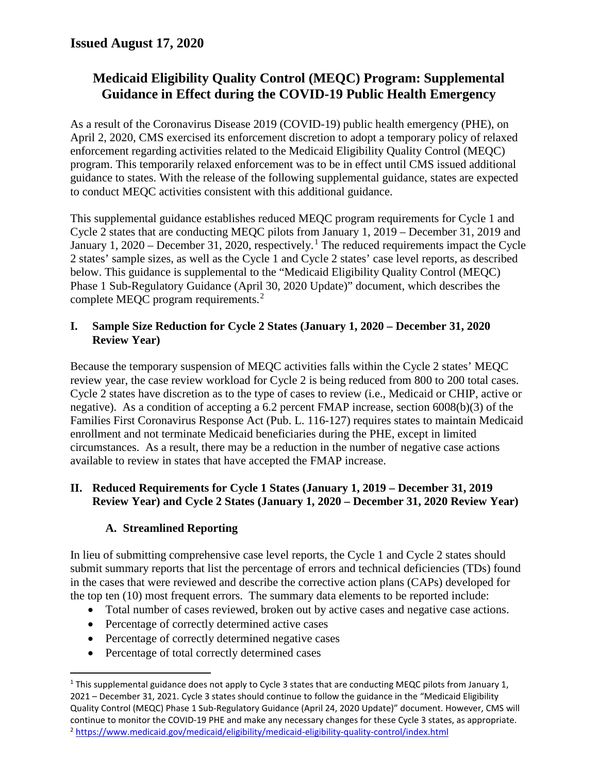# **Medicaid Eligibility Quality Control (MEQC) Program: Supplemental Guidance in Effect during the COVID-19 Public Health Emergency**

As a result of the Coronavirus Disease 2019 (COVID-19) public health emergency (PHE), on April 2, 2020, CMS exercised its enforcement discretion to adopt a temporary policy of relaxed enforcement regarding activities related to the Medicaid Eligibility Quality Control (MEQC) program. This temporarily relaxed enforcement was to be in effect until CMS issued additional guidance to states. With the release of the following supplemental guidance, states are expected to conduct MEQC activities consistent with this additional guidance.

This supplemental guidance establishes reduced MEQC program requirements for Cycle 1 and Cycle 2 states that are conducting MEQC pilots from January 1, 2019 – December 31, 2019 and January [1](#page-0-0), 2020 – December 31, 2020, respectively.<sup>1</sup> The reduced requirements impact the Cycle 2 states' sample sizes, as well as the Cycle 1 and Cycle 2 states' case level reports, as described below. This guidance is supplemental to the "Medicaid Eligibility Quality Control (MEQC) Phase 1 Sub-Regulatory Guidance (April 30, 2020 Update)" document, which describes the complete MEQC program requirements.<sup>[2](#page-0-1)</sup>

### **I. Sample Size Reduction for Cycle 2 States (January 1, 2020 – December 31, 2020 Review Year)**

Because the temporary suspension of MEQC activities falls within the Cycle 2 states' MEQC review year, the case review workload for Cycle 2 is being reduced from 800 to 200 total cases. Cycle 2 states have discretion as to the type of cases to review (i.e., Medicaid or CHIP, active or negative). As a condition of accepting a 6.2 percent FMAP increase, section 6008(b)(3) of the Families First Coronavirus Response Act (Pub. L. 116-127) requires states to maintain Medicaid enrollment and not terminate Medicaid beneficiaries during the PHE, except in limited circumstances. As a result, there may be a reduction in the number of negative case actions available to review in states that have accepted the FMAP increase.

### **II. Reduced Requirements for Cycle 1 States (January 1, 2019 – December 31, 2019 Review Year) and Cycle 2 States (January 1, 2020 – December 31, 2020 Review Year)**

### **A. Streamlined Reporting**

In lieu of submitting comprehensive case level reports, the Cycle 1 and Cycle 2 states should submit summary reports that list the percentage of errors and technical deficiencies (TDs) found in the cases that were reviewed and describe the corrective action plans (CAPs) developed for the top ten (10) most frequent errors. The summary data elements to be reported include:

- Total number of cases reviewed, broken out by active cases and negative case actions.
- Percentage of correctly determined active cases
- Percentage of correctly determined negative cases
- Percentage of total correctly determined cases

<span id="page-0-1"></span><span id="page-0-0"></span><sup>&</sup>lt;sup>1</sup> This supplemental guidance does not apply to Cycle 3 states that are conducting MEQC pilots from January 1, 2021 – December 31, 2021. Cycle 3 states should continue to follow the guidance in the "Medicaid Eligibility Quality Control (MEQC) Phase 1 Sub-Regulatory Guidance (April 24, 2020 Update)" document. However, CMS will continue to monitor the COVID-19 PHE and make any necessary changes for these Cycle 3 states, as appropriate. <sup>2</sup> <https://www.medicaid.gov/medicaid/eligibility/medicaid-eligibility-quality-control/index.html>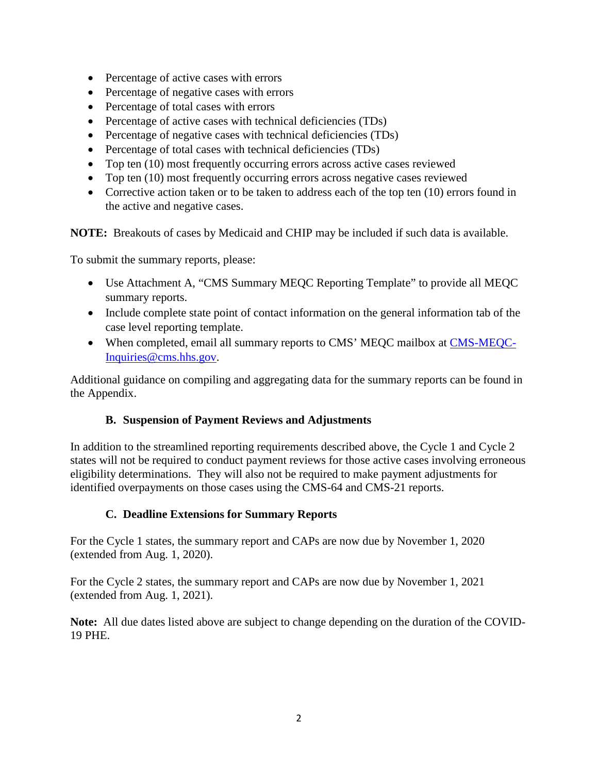- Percentage of active cases with errors
- Percentage of negative cases with errors
- Percentage of total cases with errors
- Percentage of active cases with technical deficiencies (TDs)
- Percentage of negative cases with technical deficiencies (TDs)
- Percentage of total cases with technical deficiencies (TDs)
- Top ten (10) most frequently occurring errors across active cases reviewed
- Top ten (10) most frequently occurring errors across negative cases reviewed
- Corrective action taken or to be taken to address each of the top ten (10) errors found in the active and negative cases.

**NOTE:** Breakouts of cases by Medicaid and CHIP may be included if such data is available.

To submit the summary reports, please:

- Use Attachment A, "CMS Summary MEQC Reporting Template" to provide all MEQC summary reports.
- Include complete state point of contact information on the general information tab of the case level reporting template.
- When completed, email all summary reports to CMS' MEQC mailbox at [CMS-MEQC-](mailto:CMS-MEQC-Inquiries@cms.hhs.gov)[Inquiries@cms.hhs.gov.](mailto:CMS-MEQC-Inquiries@cms.hhs.gov)

Additional guidance on compiling and aggregating data for the summary reports can be found in the Appendix.

### **B. Suspension of Payment Reviews and Adjustments**

In addition to the streamlined reporting requirements described above, the Cycle 1 and Cycle 2 states will not be required to conduct payment reviews for those active cases involving erroneous eligibility determinations. They will also not be required to make payment adjustments for identified overpayments on those cases using the CMS-64 and CMS-21 reports.

### **C. Deadline Extensions for Summary Reports**

For the Cycle 1 states, the summary report and CAPs are now due by November 1, 2020 (extended from Aug. 1, 2020).

For the Cycle 2 states, the summary report and CAPs are now due by November 1, 2021 (extended from Aug. 1, 2021).

**Note:** All due dates listed above are subject to change depending on the duration of the COVID-19 PHE.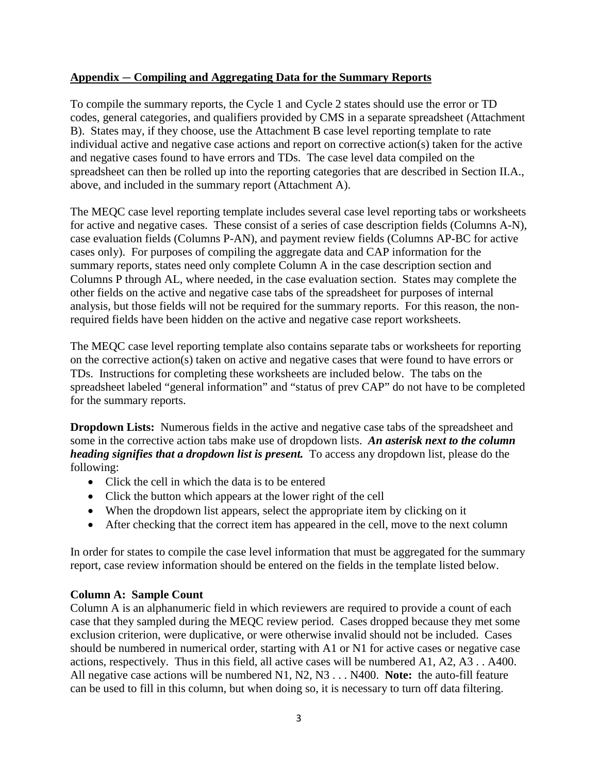#### **Appendix** — **Compiling and Aggregating Data for the Summary Reports**

To compile the summary reports, the Cycle 1 and Cycle 2 states should use the error or TD codes, general categories, and qualifiers provided by CMS in a separate spreadsheet (Attachment B). States may, if they choose, use the Attachment B case level reporting template to rate individual active and negative case actions and report on corrective action(s) taken for the active and negative cases found to have errors and TDs. The case level data compiled on the spreadsheet can then be rolled up into the reporting categories that are described in Section II.A., above, and included in the summary report (Attachment A).

The MEQC case level reporting template includes several case level reporting tabs or worksheets for active and negative cases. These consist of a series of case description fields (Columns A-N), case evaluation fields (Columns P-AN), and payment review fields (Columns AP-BC for active cases only). For purposes of compiling the aggregate data and CAP information for the summary reports, states need only complete Column A in the case description section and Columns P through AL, where needed, in the case evaluation section. States may complete the other fields on the active and negative case tabs of the spreadsheet for purposes of internal analysis, but those fields will not be required for the summary reports. For this reason, the nonrequired fields have been hidden on the active and negative case report worksheets.

The MEQC case level reporting template also contains separate tabs or worksheets for reporting on the corrective action(s) taken on active and negative cases that were found to have errors or TDs. Instructions for completing these worksheets are included below. The tabs on the spreadsheet labeled "general information" and "status of prev CAP" do not have to be completed for the summary reports.

**Dropdown Lists:** Numerous fields in the active and negative case tabs of the spreadsheet and some in the corrective action tabs make use of dropdown lists. *An asterisk next to the column heading signifies that a dropdown list is present.* To access any dropdown list, please do the following:

- Click the cell in which the data is to be entered
- Click the button which appears at the lower right of the cell
- When the dropdown list appears, select the appropriate item by clicking on it
- After checking that the correct item has appeared in the cell, move to the next column

In order for states to compile the case level information that must be aggregated for the summary report, case review information should be entered on the fields in the template listed below.

#### **Column A: Sample Count**

Column A is an alphanumeric field in which reviewers are required to provide a count of each case that they sampled during the MEQC review period. Cases dropped because they met some exclusion criterion, were duplicative, or were otherwise invalid should not be included. Cases should be numbered in numerical order, starting with A1 or N1 for active cases or negative case actions, respectively. Thus in this field, all active cases will be numbered A1, A2, A3 . . A400. All negative case actions will be numbered N1, N2, N3 . . . N400. **Note:** the auto-fill feature can be used to fill in this column, but when doing so, it is necessary to turn off data filtering.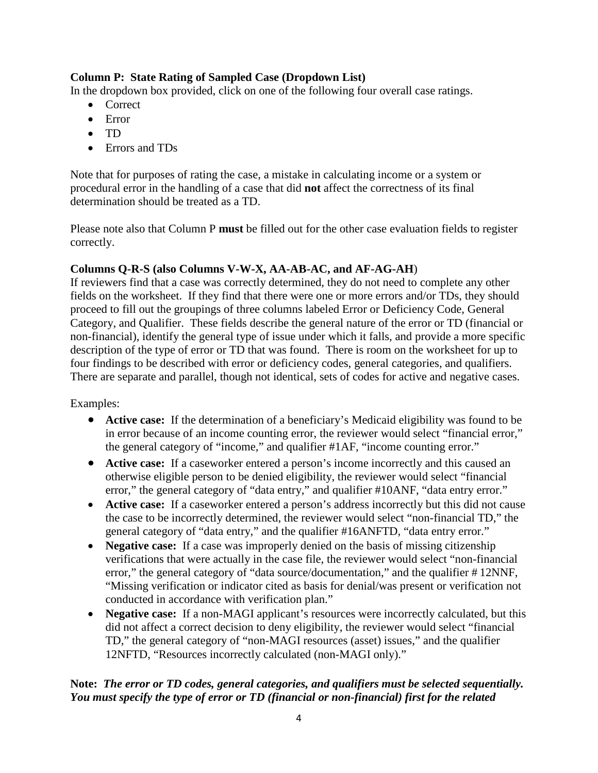### **Column P: State Rating of Sampled Case (Dropdown List)**

In the dropdown box provided, click on one of the following four overall case ratings.

- Correct
- Error
- TD
- Errors and TDs

Note that for purposes of rating the case, a mistake in calculating income or a system or procedural error in the handling of a case that did **not** affect the correctness of its final determination should be treated as a TD.

Please note also that Column P **must** be filled out for the other case evaluation fields to register correctly.

### **Columns Q-R-S (also Columns V-W-X, AA-AB-AC, and AF-AG-AH**)

If reviewers find that a case was correctly determined, they do not need to complete any other fields on the worksheet. If they find that there were one or more errors and/or TDs, they should proceed to fill out the groupings of three columns labeled Error or Deficiency Code, General Category, and Qualifier. These fields describe the general nature of the error or TD (financial or non-financial), identify the general type of issue under which it falls, and provide a more specific description of the type of error or TD that was found. There is room on the worksheet for up to four findings to be described with error or deficiency codes, general categories, and qualifiers. There are separate and parallel, though not identical, sets of codes for active and negative cases.

Examples:

- **Active case:** If the determination of a beneficiary's Medicaid eligibility was found to be in error because of an income counting error, the reviewer would select "financial error," the general category of "income," and qualifier #1AF, "income counting error."
- **Active case:** If a caseworker entered a person's income incorrectly and this caused an otherwise eligible person to be denied eligibility, the reviewer would select "financial error," the general category of "data entry," and qualifier #10ANF, "data entry error."
- **Active case:** If a caseworker entered a person's address incorrectly but this did not cause the case to be incorrectly determined, the reviewer would select "non-financial TD," the general category of "data entry," and the qualifier #16ANFTD, "data entry error."
- **Negative case:** If a case was improperly denied on the basis of missing citizenship verifications that were actually in the case file, the reviewer would select "non-financial error," the general category of "data source/documentation," and the qualifier # 12NNF, "Missing verification or indicator cited as basis for denial/was present or verification not conducted in accordance with verification plan."
- **Negative case:** If a non-MAGI applicant's resources were incorrectly calculated, but this did not affect a correct decision to deny eligibility, the reviewer would select "financial TD," the general category of "non-MAGI resources (asset) issues," and the qualifier 12NFTD, "Resources incorrectly calculated (non-MAGI only)."

### **Note:** *The error or TD codes, general categories, and qualifiers must be selected sequentially. You must specify the type of error or TD (financial or non-financial) first for the related*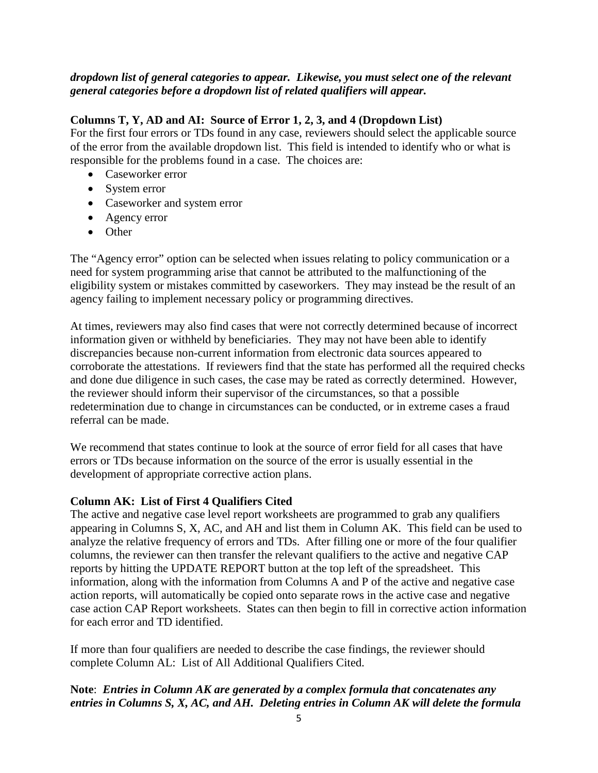#### *dropdown list of general categories to appear. Likewise, you must select one of the relevant general categories before a dropdown list of related qualifiers will appear.*

#### **Columns T, Y, AD and AI: Source of Error 1, 2, 3, and 4 (Dropdown List)**

For the first four errors or TDs found in any case, reviewers should select the applicable source of the error from the available dropdown list. This field is intended to identify who or what is responsible for the problems found in a case. The choices are:

- Caseworker error
- System error
- Caseworker and system error
- Agency error
- Other

The "Agency error" option can be selected when issues relating to policy communication or a need for system programming arise that cannot be attributed to the malfunctioning of the eligibility system or mistakes committed by caseworkers. They may instead be the result of an agency failing to implement necessary policy or programming directives.

At times, reviewers may also find cases that were not correctly determined because of incorrect information given or withheld by beneficiaries. They may not have been able to identify discrepancies because non-current information from electronic data sources appeared to corroborate the attestations. If reviewers find that the state has performed all the required checks and done due diligence in such cases, the case may be rated as correctly determined. However, the reviewer should inform their supervisor of the circumstances, so that a possible redetermination due to change in circumstances can be conducted, or in extreme cases a fraud referral can be made.

We recommend that states continue to look at the source of error field for all cases that have errors or TDs because information on the source of the error is usually essential in the development of appropriate corrective action plans.

### **Column AK: List of First 4 Qualifiers Cited**

The active and negative case level report worksheets are programmed to grab any qualifiers appearing in Columns S, X, AC, and AH and list them in Column AK. This field can be used to analyze the relative frequency of errors and TDs. After filling one or more of the four qualifier columns, the reviewer can then transfer the relevant qualifiers to the active and negative CAP reports by hitting the UPDATE REPORT button at the top left of the spreadsheet. This information, along with the information from Columns A and P of the active and negative case action reports, will automatically be copied onto separate rows in the active case and negative case action CAP Report worksheets. States can then begin to fill in corrective action information for each error and TD identified.

If more than four qualifiers are needed to describe the case findings, the reviewer should complete Column AL: List of All Additional Qualifiers Cited.

### **Note**: *Entries in Column AK are generated by a complex formula that concatenates any entries in Columns S, X, AC, and AH. Deleting entries in Column AK will delete the formula*